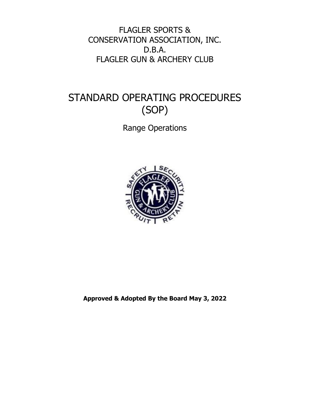FLAGLER SPORTS & CONSERVATION ASSOCIATION, INC. D.B.A. FLAGLER GUN & ARCHERY CLUB

# STANDARD OPERATING PROCEDURES (SOP)

Range Operations



**Approved & Adopted By the Board May 3, 2022**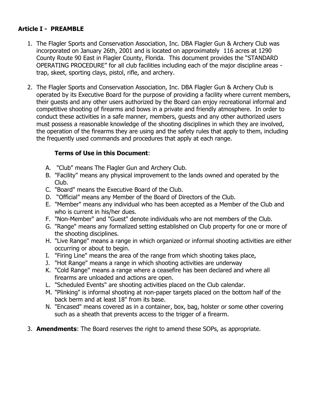## **Article I - PREAMBLE**

- 1. The Flagler Sports and Conservation Association, Inc. DBA Flagler Gun & Archery Club was incorporated on January 26th, 2001 and is located on approximately 116 acres at 1290 County Route 90 East in Flagler County, Florida. This document provides the "STANDARD OPERATING PROCEDURE" for all club facilities including each of the major discipline areas trap, skeet, sporting clays, pistol, rifle, and archery.
- 2. The Flagler Sports and Conservation Association, Inc. DBA Flagler Gun & Archery Club is operated by its Executive Board for the purpose of providing a facility where current members, their guests and any other users authorized by the Board can enjoy recreational informal and competitive shooting of firearms and bows in a private and friendly atmosphere. In order to conduct these activities in a safe manner, members, guests and any other authorized users must possess a reasonable knowledge of the shooting disciplines in which they are involved, the operation of the firearms they are using and the safety rules that apply to them, including the frequently used commands and procedures that apply at each range.

## **Terms of Use in this Document**:

- A. "Club" means The Flagler Gun and Archery Club.
- B. "Facility" means any physical improvement to the lands owned and operated by the Club.
- C. "Board" means the Executive Board of the Club.
- D. "Official" means any Member of the Board of Directors of the Club.
- E. "Member" means any individual who has been accepted as a Member of the Club and who is current in his/her dues.
- F. "Non-Member" and "Guest" denote individuals who are not members of the Club.
- G. "Range" means any formalized setting established on Club property for one or more of the shooting disciplines.
- H. "Live Range" means a range in which organized or informal shooting activities are either occurring or about to begin.
- I. "Firing Line" means the area of the range from which shooting takes place,
- J. "Hot Range" means a range in which shooting activities are underway
- K. "Cold Range" means a range where a ceasefire has been declared and where all firearms are unloaded and actions are open.
- L. "Scheduled Events" are shooting activities placed on the Club calendar.
- M. "Plinking" is informal shooting at non-paper targets placed on the bottom half of the back berm and at least 18" from its base.
- N. "Encased" means covered as in a container, box, bag, holster or some other covering such as a sheath that prevents access to the trigger of a firearm.
- 3. **Amendments**: The Board reserves the right to amend these SOPs, as appropriate.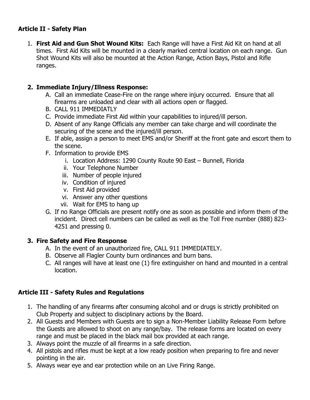## **Article II - Safety Plan**

1. **First Aid and Gun Shot Wound Kits:** Each Range will have a First Aid Kit on hand at all times. First Aid Kits will be mounted in a clearly marked central location on each range. Gun Shot Wound Kits will also be mounted at the Action Range, Action Bays, Pistol and Rifle ranges.

## **2. Immediate Injury/Illness Response:**

- A. Call an immediate Cease-Fire on the range where injury occurred. Ensure that all firearms are unloaded and clear with all actions open or flagged.
- B. CALL 911 IMMEDIATLY
- C. Provide immediate First Aid within your capabilities to injured/ill person.
- D. Absent of any Range Officials any member can take charge and will coordinate the securing of the scene and the injured/ill person.
- E. If able, assign a person to meet EMS and/or Sheriff at the front gate and escort them to the scene.
- F. Information to provide EMS
	- i. Location Address: 1290 County Route 90 East Bunnell, Florida
	- ii. Your Telephone Number
	- iii. Number of people injured
	- iv. Condition of injured
	- v. First Aid provided
	- vi. Answer any other questions
	- vii. Wait for EMS to hang up
- G. If no Range Officials are present notify one as soon as possible and inform them of the incident. Direct cell numbers can be called as well as the Toll Free number (888) 823- 4251 and pressing 0.

## **3. Fire Safety and Fire Response**

- A. In the event of an unauthorized fire, CALL 911 IMMEDIATELY.
- B. Observe all Flagler County burn ordinances and burn bans.
- C. All ranges will have at least one (1) fire extinguisher on hand and mounted in a central location.

## **Article III - Safety Rules and Regulations**

- 1. The handling of any firearms after consuming alcohol and or drugs is strictly prohibited on Club Property and subject to disciplinary actions by the Board.
- 2. All Guests and Members with Guests are to sign a Non-Member Liability Release Form before the Guests are allowed to shoot on any range/bay. The release forms are located on every range and must be placed in the black mail box provided at each range.
- 3. Always point the muzzle of all firearms in a safe direction.
- 4. All pistols and rifles must be kept at a low ready position when preparing to fire and never pointing in the air.
- 5. Always wear eye and ear protection while on an Live Firing Range.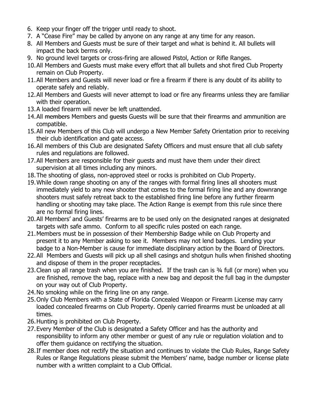- 6. Keep your finger off the trigger until ready to shoot.
- 7. A "Cease Fire" may be called by anyone on any range at any time for any reason.
- 8. All Members and Guests must be sure of their target and what is behind it. All bullets will impact the back berms only.
- 9. No ground level targets or cross-firing are allowed Pistol, Action or Rifle Ranges.
- 10.All Members and Guests must make every effort that all bullets and shot fired Club Property remain on Club Property.
- 11.All Members and Guests will never load or fire a firearm if there is any doubt of its ability to operate safely and reliably.
- 12.All Members and Guests will never attempt to load or fire any firearms unless they are familiar with their operation.
- 13.A loaded firearm will never be left unattended.
- 14. All members Members and guests Guests will be sure that their firearms and ammunition are compatible.
- 15.All new Members of this Club will undergo a New Member Safety Orientation prior to receiving their club identification and gate access.
- 16.All members of this Club are designated Safety Officers and must ensure that all club safety rules and regulations are followed.
- 17.All Members are responsible for their guests and must have them under their direct supervision at all times including any minors.
- 18.The shooting of glass, non-approved steel or rocks is prohibited on Club Property.
- 19.While down range shooting on any of the ranges with formal firing lines all shooters must immediately yield to any new shooter that comes to the formal firing line and any downrange shooters must safely retreat back to the established firing line before any further firearm handling or shooting may take place. The Action Range is exempt from this rule since there are no formal firing lines.
- 20.All Members' and Guests' firearms are to be used only on the designated ranges at designated targets with safe ammo. Conform to all specific rules posted on each range.
- 21.Members must be in possession of their Membership Badge while on Club Property and present it to any Member asking to see it. Members may not lend badges. Lending your badge to a Non-Member is cause for immediate disciplinary action by the Board of Directors.
- 22.All Members and Guests will pick up all shell casings and shotgun hulls when finished shooting and dispose of them in the proper receptacles.
- 23.Clean up all range trash when you are finished. If the trash can is ¾ full (or more) when you are finished, remove the bag, replace with a new bag and deposit the full bag in the dumpster on your way out of Club Property.
- 24.No smoking while on the firing line on any range.
- 25.Only Club Members with a State of Florida Concealed Weapon or Firearm License may carry loaded concealed firearms on Club Property. Openly carried firearms must be unloaded at all times.
- 26.Hunting is prohibited on Club Property.
- 27.Every Member of the Club is designated a Safety Officer and has the authority and responsibility to inform any other member or guest of any rule or regulation violation and to offer them guidance on rectifying the situation.
- 28.If member does not rectify the situation and continues to violate the Club Rules, Range Safety Rules or Range Regulations please submit the Members' name, badge number or license plate number with a written complaint to a Club Official.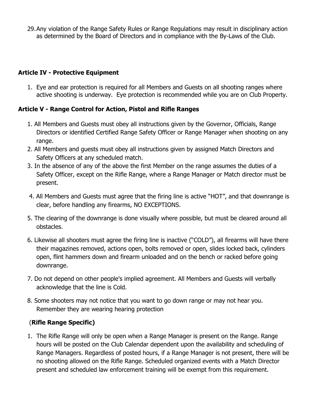29.Any violation of the Range Safety Rules or Range Regulations may result in disciplinary action as determined by the Board of Directors and in compliance with the By-Laws of the Club.

## **Article IV - Protective Equipment**

1. Eye and ear protection is required for all Members and Guests on all shooting ranges where active shooting is underway. Eye protection is recommended while you are on Club Property.

## **Article V - Range Control for Action, Pistol and Rifle Ranges**

- 1. All Members and Guests must obey all instructions given by the Governor, Officials, Range Directors or identified Certified Range Safety Officer or Range Manager when shooting on any range.
- 2. All Members and guests must obey all instructions given by assigned Match Directors and Safety Officers at any scheduled match.
- 3. In the absence of any of the above the first Member on the range assumes the duties of a Safety Officer, except on the Rifle Range, where a Range Manager or Match director must be present.
- 4. All Members and Guests must agree that the firing line is active "HOT", and that downrange is clear, before handling any firearms, NO EXCEPTIONS.
- 5. The clearing of the downrange is done visually where possible, but must be cleared around all obstacles.
- 6. Likewise all shooters must agree the firing line is inactive ("COLD"), all firearms will have there their magazines removed, actions open, bolts removed or open, slides locked back, cylinders open, flint hammers down and firearm unloaded and on the bench or racked before going downrange.
- 7. Do not depend on other people's implied agreement. All Members and Guests will verbally acknowledge that the line is Cold.
- 8. Some shooters may not notice that you want to go down range or may not hear you. Remember they are wearing hearing protection

## (**Rifle Range Specific)**

1. The Rifle Range will only be open when a Range Manager is present on the Range. Range hours will be posted on the Club Calendar dependent upon the availability and scheduling of Range Managers. Regardless of posted hours, if a Range Manager is not present, there will be no shooting allowed on the Rifle Range. Scheduled organized events with a Match Director present and scheduled law enforcement training will be exempt from this requirement.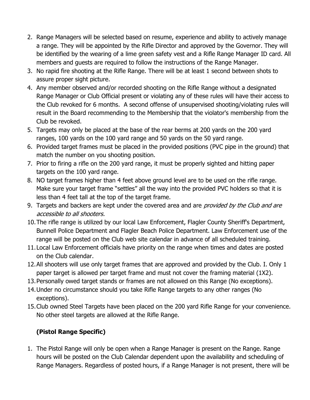- 2. Range Managers will be selected based on resume, experience and ability to actively manage a range. They will be appointed by the Rifle Director and approved by the Governor. They will be identified by the wearing of a lime green safety vest and a Rifle Range Manager ID card. All members and guests are required to follow the instructions of the Range Manager.
- 3. No rapid fire shooting at the Rifle Range. There will be at least 1 second between shots to assure proper sight picture.
- 4. Any member observed and/or recorded shooting on the Rifle Range without a designated Range Manager or Club Official present or violating any of these rules will have their access to the Club revoked for 6 months. A second offense of unsupervised shooting/violating rules will result in the Board recommending to the Membership that the violator's membership from the Club be revoked.
- 5. Targets may only be placed at the base of the rear berms at 200 yards on the 200 yard ranges, 100 yards on the 100 yard range and 50 yards on the 50 yard range.
- 6. Provided target frames must be placed in the provided positions (PVC pipe in the ground) that match the number on you shooting position.
- 7. Prior to firing a rifle on the 200 yard range, it must be properly sighted and hitting paper targets on the 100 yard range.
- 8. NO target frames higher than 4 feet above ground level are to be used on the rifle range. Make sure your target frame "settles" all the way into the provided PVC holders so that it is less than 4 feet tall at the top of the target frame.
- 9. Targets and backers are kept under the covered area and are *provided by the Club and are* accessible to all shooters.
- 10.The rifle range is utilized by our local Law Enforcement, Flagler County Sheriff's Department, Bunnell Police Department and Flagler Beach Police Department. Law Enforcement use of the range will be posted on the Club web site calendar in advance of all scheduled training.
- 11.Local Law Enforcement officials have priority on the range when times and dates are posted on the Club calendar.
- 12.All shooters will use only target frames that are approved and provided by the Club. I. Only 1 paper target is allowed per target frame and must not cover the framing material (1X2).
- 13.Personally owed target stands or frames are not allowed on this Range (No exceptions).
- 14.Under no circumstance should you take Rifle Range targets to any other ranges (No exceptions).
- 15.Club owned Steel Targets have been placed on the 200 yard Rifle Range for your convenience. No other steel targets are allowed at the Rifle Range.

# **(Pistol Range Specific)**

1. The Pistol Range will only be open when a Range Manager is present on the Range. Range hours will be posted on the Club Calendar dependent upon the availability and scheduling of Range Managers. Regardless of posted hours, if a Range Manager is not present, there will be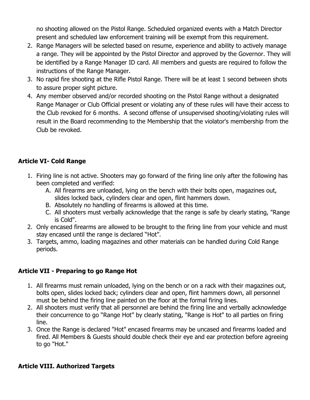no shooting allowed on the Pistol Range. Scheduled organized events with a Match Director present and scheduled law enforcement training will be exempt from this requirement.

- 2. Range Managers will be selected based on resume, experience and ability to actively manage a range. They will be appointed by the Pistol Director and approved by the Governor. They will be identified by a Range Manager ID card. All members and guests are required to follow the instructions of the Range Manager.
- 3. No rapid fire shooting at the Rifle Pistol Range. There will be at least 1 second between shots to assure proper sight picture.
- 4. Any member observed and/or recorded shooting on the Pistol Range without a designated Range Manager or Club Official present or violating any of these rules will have their access to the Club revoked for 6 months. A second offense of unsupervised shooting/violating rules will result in the Board recommending to the Membership that the violator's membership from the Club be revoked.

## **Article VI- Cold Range**

- 1. Firing line is not active. Shooters may go forward of the firing line only after the following has been completed and verified:
	- A. All firearms are unloaded, lying on the bench with their bolts open, magazines out, slides locked back, cylinders clear and open, flint hammers down.
	- B. Absolutely no handling of firearms is allowed at this time.
	- C. All shooters must verbally acknowledge that the range is safe by clearly stating, "Range is Cold".
- 2. Only encased firearms are allowed to be brought to the firing line from your vehicle and must stay encased until the range is declared "Hot".
- 3. Targets, ammo, loading magazines and other materials can be handled during Cold Range periods.

## **Article VII - Preparing to go Range Hot**

- 1. All firearms must remain unloaded, lying on the bench or on a rack with their magazines out, bolts open, slides locked back; cylinders clear and open, flint hammers down, all personnel must be behind the firing line painted on the floor at the formal firing lines.
- 2. All shooters must verify that all personnel are behind the firing line and verbally acknowledge their concurrence to go "Range Hot" by clearly stating, "Range is Hot" to all parties on firing line.
- 3. Once the Range is declared "Hot" encased firearms may be uncased and firearms loaded and fired. All Members & Guests should double check their eye and ear protection before agreeing to go "Hot."

## **Article VIII. Authorized Targets**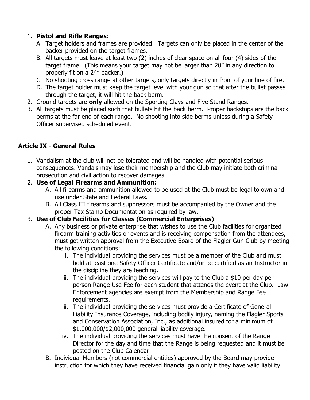## 1. **Pistol and Rifle Ranges**:

- A. Target holders and frames are provided. Targets can only be placed in the center of the backer provided on the target frames.
- B. All targets must leave at least two (2) inches of clear space on all four (4) sides of the target frame. (This means your target may not be larger than 20" in any direction to properly fit on a 24" backer.)
- C. No shooting cross range at other targets, only targets directly in front of your line of fire.
- D. The target holder must keep the target level with your gun so that after the bullet passes through the target, it will hit the back berm.
- 2. Ground targets are **only** allowed on the Sporting Clays and Five Stand Ranges.
- 3. All targets must be placed such that bullets hit the back berm. Proper backstops are the back berms at the far end of each range. No shooting into side berms unless during a Safety Officer supervised scheduled event.

## **Article IX - General Rules**

1. Vandalism at the club will not be tolerated and will be handled with potential serious consequences. Vandals may lose their membership and the Club may initiate both criminal prosecution and civil action to recover damages.

## 2. **Use of Legal Firearms and Ammunition:**

- A. All firearms and ammunition allowed to be used at the Club must be legal to own and use under State and Federal Laws.
- B. All Class III firearms and suppressors must be accompanied by the Owner and the proper Tax Stamp Documentation as required by law.

## 3. **Use of Club Facilities for Classes (Commercial Enterprises)**

- A. Any business or private enterprise that wishes to use the Club facilities for organized firearm training activities or events and is receiving compensation from the attendees, must get written approval from the Executive Board of the Flagler Gun Club by meeting the following conditions:
	- i. The individual providing the services must be a member of the Club and must hold at least one Safety Officer Certificate and/or be certified as an Instructor in the discipline they are teaching.
	- ii. The individual providing the services will pay to the Club a \$10 per day per person Range Use Fee for each student that attends the event at the Club. Law Enforcement agencies are exempt from the Membership and Range Fee requirements.
	- iii. The individual providing the services must provide a Certificate of General Liability Insurance Coverage, including bodily injury, naming the Flagler Sports and Conservation Association, Inc., as additional insured for a minimum of \$1,000,000/\$2,000,000 general liability coverage.
	- iv. The individual providing the services must have the consent of the Range Director for the day and time that the Range is being requested and it must be posted on the Club Calendar.
- B. Individual Members (not commercial entities) approved by the Board may provide instruction for which they have received financial gain only if they have valid liability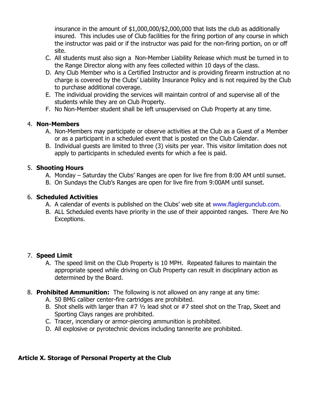insurance in the amount of \$1,000,000/\$2,000,000 that lists the club as additionally insured. This includes use of Club facilities for the firing portion of any course in which the instructor was paid or if the instructor was paid for the non-firing portion, on or off site.

- C. All students must also sign a Non-Member Liability Release which must be turned in to the Range Director along with any fees collected within 10 days of the class.
- D. Any Club Member who is a Certified Instructor and is providing firearm instruction at no charge is covered by the Clubs' Liability Insurance Policy and is not required by the Club to purchase additional coverage.
- E. The individual providing the services will maintain control of and supervise all of the students while they are on Club Property.
- F. No Non-Member student shall be left unsupervised on Club Property at any time.

## 4. **Non-Members**

- A. Non-Members may participate or observe activities at the Club as a Guest of a Member or as a participant in a scheduled event that is posted on the Club Calendar.
- B. Individual guests are limited to three (3) visits per year. This visitor limitation does not apply to participants in scheduled events for which a fee is paid.

## 5. **Shooting Hours**

- A. Monday Saturday the Clubs' Ranges are open for live fire from 8:00 AM until sunset.
- B. On Sundays the Club's Ranges are open for live fire from 9:00AM until sunset.

## 6. **Scheduled Activities**

- A. A calendar of events is published on the Clubs' web site at [www.flaglergunclub.com.](http://www.flaglergunclub.com/)
- B. ALL Scheduled events have priority in the use of their appointed ranges. There Are No Exceptions.

## 7. **Speed Limit**

- A. The speed limit on the Club Property is 10 MPH. Repeated failures to maintain the appropriate speed while driving on Club Property can result in disciplinary action as determined by the Board.
- 8. **Prohibited Ammunition:** The following is not allowed on any range at any time:
	- A. 50 BMG caliber center-fire cartridges are prohibited.
	- B. Shot shells with larger than #7 ½ lead shot or #7 steel shot on the Trap, Skeet and Sporting Clays ranges are prohibited.
	- C. Tracer, incendiary or armor-piercing ammunition is prohibited.
	- D. All explosive or pyrotechnic devices including tannerite are prohibited.

## **Article X. Storage of Personal Property at the Club**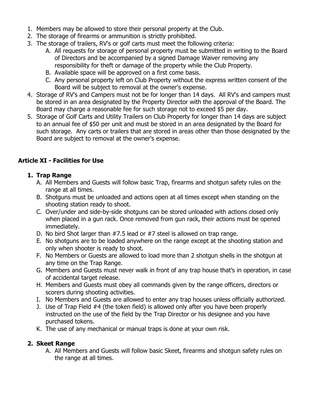- 1. Members may be allowed to store their personal property at the Club.
- 2. The storage of firearms or ammunition is strictly prohibited.
- 3. The storage of trailers, RV's or golf carts must meet the following criteria:
	- A. All requests for storage of personal property must be submitted in writing to the Board of Directors and be accompanied by a signed Damage Waiver removing any responsibility for theft or damage of the property while the Club Property.
	- B. Available space will be approved on a first come basis.
	- C. Any personal property left on Club Property without the express written consent of the Board will be subject to removal at the owner's expense.
- 4. Storage of RV's and Campers must not be for longer than 14 days. All RV's and campers must be stored in an area designated by the Property Director with the approval of the Board. The Board may charge a reasonable fee for such storage not to exceed \$5 per day.
- 5. Storage of Golf Carts and Utility Trailers on Club Property for longer than 14 days are subject to an annual fee of \$50 per unit and must be stored in an area designated by the Board for such storage. Any carts or trailers that are stored in areas other than those designated by the Board are subject to removal at the owner's expense.

## **Article XI - Facilities for Use**

## **1. Trap Range**

- A. All Members and Guests will follow basic Trap, firearms and shotgun safety rules on the range at all times.
- B. Shotguns must be unloaded and actions open at all times except when standing on the shooting station ready to shoot.
- C. Over/under and side-by-side shotguns can be stored unloaded with actions closed only when placed in a gun rack. Once removed from gun rack, their actions must be opened immediately.
- D. No bird Shot larger than #7.5 lead or #7 steel is allowed on trap range.
- E. No shotguns are to be loaded anywhere on the range except at the shooting station and only when shooter is ready to shoot.
- F. No Members or Guests are allowed to load more than 2 shotgun shells in the shotgun at any time on the Trap Range.
- G. Members and Guests must never walk in front of any trap house that's in operation, in case of accidental target release.
- H. Members and Guests must obey all commands given by the range officers, directors or scorers during shooting activities.
- I. No Members and Guests are allowed to enter any trap houses unless officially authorized.
- J. Use of Trap Field #4 (the token field) is allowed only after you have been properly instructed on the use of the field by the Trap Director or his designee and you have purchased tokens.
- K. The use of any mechanical or manual traps is done at your own risk.

## **2. Skeet Range**

A. All Members and Guests will follow basic Skeet, firearms and shotgun safety rules on the range at all times.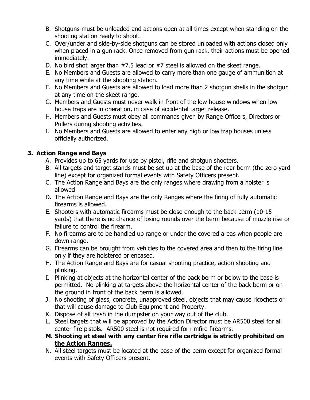- B. Shotguns must be unloaded and actions open at all times except when standing on the shooting station ready to shoot.
- C. Over/under and side-by-side shotguns can be stored unloaded with actions closed only when placed in a gun rack. Once removed from gun rack, their actions must be opened immediately.
- D. No bird shot larger than #7.5 lead or #7 steel is allowed on the skeet range.
- E. No Members and Guests are allowed to carry more than one gauge of ammunition at any time while at the shooting station.
- F. No Members and Guests are allowed to load more than 2 shotgun shells in the shotgun at any time on the skeet range.
- G. Members and Guests must never walk in front of the low house windows when low house traps are in operation, in case of accidental target release.
- H. Members and Guests must obey all commands given by Range Officers, Directors or Pullers during shooting activities.
- I. No Members and Guests are allowed to enter any high or low trap houses unless officially authorized.

## **3. Action Range and Bays**

- A. Provides up to 65 yards for use by pistol, rifle and shotgun shooters.
- B. All targets and target stands must be set up at the base of the rear berm (the zero yard line) except for organized formal events with Safety Officers present.
- C. The Action Range and Bays are the only ranges where drawing from a holster is allowed
- D. The Action Range and Bays are the only Ranges where the firing of fully automatic firearms is allowed.
- E. Shooters with automatic firearms must be close enough to the back berm (10-15 yards) that there is no chance of losing rounds over the berm because of muzzle rise or failure to control the firearm.
- F. No firearms are to be handled up range or under the covered areas when people are down range.
- G. Firearms can be brought from vehicles to the covered area and then to the firing line only if they are holstered or encased.
- H. The Action Range and Bays are for casual shooting practice, action shooting and plinking.
- I. Plinking at objects at the horizontal center of the back berm or below to the base is permitted. No plinking at targets above the horizontal center of the back berm or on the ground in front of the back berm is allowed.
- J. No shooting of glass, concrete, unapproved steel, objects that may cause ricochets or that will cause damage to Club Equipment and Property.
- K. Dispose of all trash in the dumpster on your way out of the club.
- L. Steel targets that will be approved by the Action Director must be AR500 steel for all center fire pistols. AR500 steel is not required for rimfire firearms.

## **M. Shooting at steel with any center fire rifle cartridge is strictly prohibited on the Action Ranges.**

N. All steel targets must be located at the base of the berm except for organized formal events with Safety Officers present.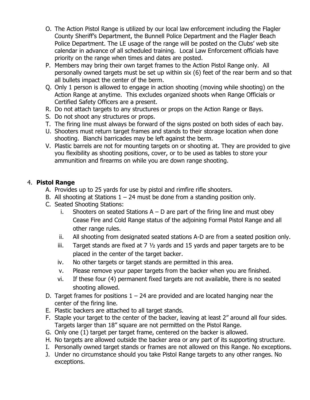- O. The Action Pistol Range is utilized by our local law enforcement including the Flagler County Sheriff's Department, the Bunnell Police Department and the Flagler Beach Police Department. The LE usage of the range will be posted on the Clubs' web site calendar in advance of all scheduled training. Local Law Enforcement officials have priority on the range when times and dates are posted.
- P. Members may bring their own target frames to the Action Pistol Range only. All personally owned targets must be set up within six (6) feet of the rear berm and so that all bullets impact the center of the berm.
- Q. Only 1 person is allowed to engage in action shooting (moving while shooting) on the Action Range at anytime. This excludes organized shoots when Range Officials or Certified Safety Officers are a present.
- R. Do not attach targets to any structures or props on the Action Range or Bays.
- S. Do not shoot any structures or props.
- T. The firing line must always be forward of the signs posted on both sides of each bay.
- U. Shooters must return target frames and stands to their storage location when done shooting. Bianchi barricades may be left against the berm.
- V. Plastic barrels are not for mounting targets on or shooting at. They are provided to give you flexibility as shooting positions, cover, or to be used as tables to store your ammunition and firearms on while you are down range shooting.

## 4. **Pistol Range**

- A. Provides up to 25 yards for use by pistol and rimfire rifle shooters.
- B. All shooting at Stations  $1 24$  must be done from a standing position only.
- C. Seated Shooting Stations:
	- i. Shooters on seated Stations  $A D$  are part of the firing line and must obey Cease Fire and Cold Range status of the adjoining Formal Pistol Range and all other range rules.
	- ii. All shooting from designated seated stations A-D are from a seated position only.
	- iii. Target stands are fixed at  $7\frac{1}{2}$  yards and 15 yards and paper targets are to be placed in the center of the target backer.
	- iv. No other targets or target stands are permitted in this area.
	- v. Please remove your paper targets from the backer when you are finished.
	- vi. If these four (4) permanent fixed targets are not available, there is no seated shooting allowed.
- D. Target frames for positions  $1 24$  are provided and are located hanging near the center of the firing line.
- E. Plastic backers are attached to all target stands.
- F. Staple your target to the center of the backer, leaving at least 2" around all four sides. Targets larger than 18" square are not permitted on the Pistol Range.
- G. Only one (1) target per target frame, centered on the backer is allowed.
- H. No targets are allowed outside the backer area or any part of its supporting structure.
- I. Personally owned target stands or frames are not allowed on this Range. No exceptions.
- J. Under no circumstance should you take Pistol Range targets to any other ranges. No exceptions.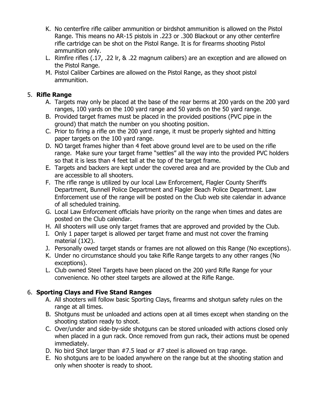- K. No centerfire rifle caliber ammunition or birdshot ammunition is allowed on the Pistol Range. This means no AR-15 pistols in .223 or .300 Blackout or any other centerfire rifle cartridge can be shot on the Pistol Range. It is for firearms shooting Pistol ammunition only.
- L. Rimfire rifles (.17, .22 lr, & .22 magnum calibers) are an exception and are allowed on the Pistol Range.
- M. Pistol Caliber Carbines are allowed on the Pistol Range, as they shoot pistol ammunition.

## 5. **Rifle Range**

- A. Targets may only be placed at the base of the rear berms at 200 yards on the 200 yard ranges, 100 yards on the 100 yard range and 50 yards on the 50 yard range.
- B. Provided target frames must be placed in the provided positions (PVC pipe in the ground) that match the number on you shooting position.
- C. Prior to firing a rifle on the 200 yard range, it must be properly sighted and hitting paper targets on the 100 yard range.
- D. NO target frames higher than 4 feet above ground level are to be used on the rifle range. Make sure your target frame "settles" all the way into the provided PVC holders so that it is less than 4 feet tall at the top of the target frame.
- E. Targets and backers are kept under the covered area and are provided by the Club and are accessible to all shooters.
- F. The rifle range is utilized by our local Law Enforcement, Flagler County Sheriffs Department, Bunnell Police Department and Flagler Beach Police Department. Law Enforcement use of the range will be posted on the Club web site calendar in advance of all scheduled training.
- G. Local Law Enforcement officials have priority on the range when times and dates are posted on the Club calendar.
- H. All shooters will use only target frames that are approved and provided by the Club.
- I. Only 1 paper target is allowed per target frame and must not cover the framing material (1X2).
- J. Personally owed target stands or frames are not allowed on this Range (No exceptions).
- K. Under no circumstance should you take Rifle Range targets to any other ranges (No exceptions).
- L. Club owned Steel Targets have been placed on the 200 yard Rifle Range for your convenience. No other steel targets are allowed at the Rifle Range.

## 6. **Sporting Clays and Five Stand Ranges**

- A. All shooters will follow basic Sporting Clays, firearms and shotgun safety rules on the range at all times.
- B. Shotguns must be unloaded and actions open at all times except when standing on the shooting station ready to shoot.
- C. Over/under and side-by-side shotguns can be stored unloaded with actions closed only when placed in a gun rack. Once removed from gun rack, their actions must be opened immediately.
- D. No bird Shot larger than #7.5 lead or #7 steel is allowed on trap range.
- E. No shotguns are to be loaded anywhere on the range but at the shooting station and only when shooter is ready to shoot.